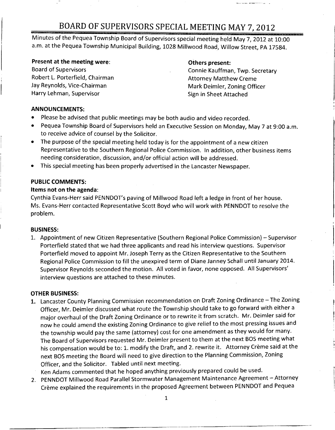### BOARD OF SUPERVISORS SPECIAL MEETING MAY 7, 2012

Minutes of the Pequea Township Board of Supervisors special meeting held May 7, 2012 at 10:00 a.m. at the Pequea Township Municipal Building, 1028 Millwood Road, Willow Street, PA 17584.

# **Present at the meeting were: COMEX CONSERVING PRESENT:** Board of Supervisors **CONSERVING PRESENT:** Connie Kauffman

Robert L. Porterfield, Chairman<br>Jay Reynolds, Vice-Chairman Jay Reynolds, Vice-Chairman Mark Deimler, Zoning Officer<br>Harry Lehman, Supervisor Mark Officer Sign in Sheet Attached

Connie Kauffman, Twp. Secretary<br>Attorney Matthew Creme Sign in Sheet Attached

### ANNOUNCEMENTS:

- Please be advised that public meetings may be both audio and video recorded.
- Pequea Township Board of Supervisors held an Executive Session on Monday, May <sup>7</sup> at 9:00 a.m. to receive advice of counsel by the Solicitor.
- The purpose of the special meeting held today is for the appointment of <sup>a</sup> new citizen Representative to the Southern Regional Police Commission. In addition, other business items needing consideration, discussion, and /or official action will be addressed.
- This special meeting has been properly advertised in the Lancaster Newspaper..

#### PUBLIC COMMENTS:

#### Items not on the agenda:

Cynthia Evans -Herr said PENNDOT'spaving of Millwood Road left <sup>a</sup> ledge in front of her house. Ms. Evans -Herr contacted Representative Scott Boyd who will work with PENNDOT to resolve the problem.

#### BUSINESS:

1. Appointment of new Citizen Representative (Southern Regional Police Commission) — Supervisor Porterfield stated that we had three applicants and read his interview questions. Supervisor Porterfield moved to appoint Mr. Joseph Terry as the Citizen Representative to the Southern Regional Police Commission to fill the unexpired term of Diane Janney Schall until January 2014. Supervisor Reynolds seconded the motion. All voted in favor, none opposed. All Supervisors' interview questions are attached to these minutes.

#### OTHER BUSINESS:

- 1. Lancaster County Planning Commission recommendation on Draft Zoning Ordinance The Zoning Officer, Mr. Deimler discussed what route the Township should take to go forward with either <sup>a</sup> major overhaul of the Draft Zoning Ordinance or to rewrite it from scratch. Mr. Deimler said for now he could amend the existing Zoning Ordinance to give relief to the most pressing issues and the township would pay the same (attorney) cost for one amendment as they would for many. The Board of Supervisors requested Mr. Deimler present to them at the next BOS meeting what his compensation would be to: 1. modify the Draft, and 2. rewrite it. Attorney Crème said at the next BOS meeting the Board will need to give direction to the Planning Commission, Zoning Officer, and the Solicitor. Tabled until next meeting.
	- Ken Adams commented that he hoped anything previously prepared could be used.
- 2. PENNDOT Millwood Road Parallel Stormwater Management Maintenance Agreement Attorney Crème explained the requirements in the proposed Agreement between PENNDOT and Pequea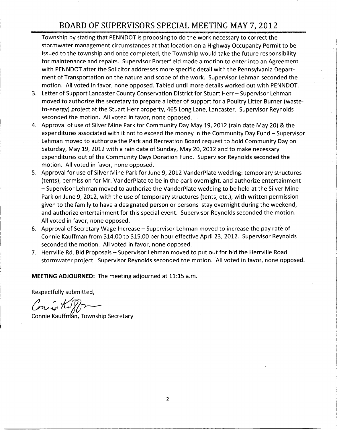### BOARD OF SUPERVISORS SPECIAL MEETING MAY 7, 2012

- Township by stating that PENNDOT is proposing to do the work necessary to correct the stormwater management circumstances at that location on <sup>a</sup> Highway Occupancy Permit to be issued to the township and once completed, the Township would take the future responsibility for maintenance and repairs. Supervisor Porterfield made <sup>a</sup> motion to enter into an Agreement with PENNDOT after the Solicitor addresses more specific detail with the Pennsylvania Department of Transportation on the nature and scope of the work. Supervisor Lehman seconded the motion. All voted in favor, none opposed. Tabled until more details worked out with PENNDOT.
- 3. Letter of Support Lancaster County Conservation District for Stuart Herr Supervisor Lehman moved to authorize the secretary to prepare a letter of support for a Poultry Litter Burner (wasteto- energy) project at the Stuart Herr property, 465 Long Lane, Lancaster. Supervisor Reynolds seconded the motion. All voted in favor, none opposed.
- 4. Approval of use of Silver Mine Park for Community Day May 19, 2012 (rain date May 20) & the expenditures associated with it not to exceed the money in the Community Day Fund — Supervisor Lehman moved to authorize the Park and Recreation Board request to hold Community Day on Saturday, May 19, 2012 with <sup>a</sup> rain date of Sunday, May 20, 2012 and to make necessary expenditures out of the Community Days Donation Fund. Supervisor Reynolds seconded the motion. All voted in favor, none opposed.
- 5. Approval for use of Silver Mine Park for June 9, 2012 VanderPlate wedding: temporary structures tents), permission for Mr. VanderPlate to be in the park overnight, and authorize entertainment - Supervisor Lehman moved to authorize the VanderPlate wedding to be held at the Silver Mine Park on June 9, 2012, with the use of temporary structures (tents, etc.), with written permission given to the family to have <sup>a</sup> designated person or persons stay overnight during the weekend, and authorize entertainment for this special event. Supervisor Reynolds seconded the motion. All voted in favor, none opposed.
- 6. Approval of Secretary Wage Increase Supervisor Lehman moved to increase the pay rate of Connie Kauffman from \$14.00 to \$15.00 per hour effective April 23, 2012. Supervisor Reynolds seconded the motion. All voted in favor, none opposed.
- 7. Herrville Rd. Bid Proposals Supervisor Lehman moved to put out for bid the Herrville Road stormwater project. Supervisor Reynolds seconded the motion. All voted in favor, none opposed.

MEETING ADJOURNED: The meeting adjourned at 11:15 a.m.

Respectfully submitted,

Conrie KI

Connie Kauffman, Township Secretary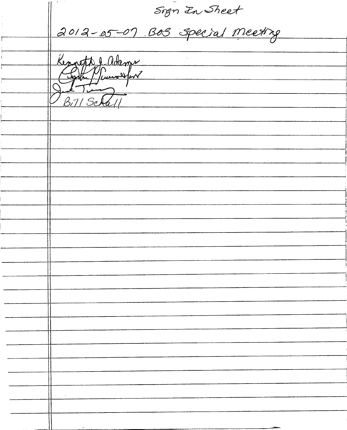t<br><u>meeting</u> 012-05-07 Bos Specia Kenneth J ad Bij/Scha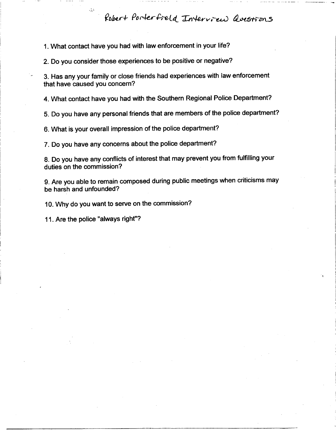Robert Porterfield Interview Questions

1. What contact have you had with law enforcement in your life?

2. Do you consider those experiences to be positive or negative?

3. Has any your family or close friends had experiences with law enforcement that have caused you concern?

4. What contact have you had with the Southern Regional Police Department?

5. Do you have any personal friends that are members of the police department?

6. What is your overall impression of the police department?

7. Do you have any concerns about the police department?

n 8. Do you have any conflicts of interest that may prevent you from fulfilling your duties on the commission?

9. Are you able to remain composed during public meetings when criticisms may be harsh and unfounded?

10. Why do you want to serve on the commission?

11. Are the police "always right"?

 $\epsilon \lambda^A$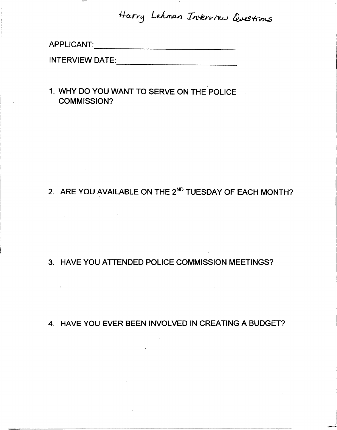Harry Lehman Interview Questions

APPLICANT:

 $\sim 10^{-11}$ 

 $\label{eq:2.1} \mathcal{L}(\mathcal{L}(\mathcal{L})) = \mathcal{L}(\mathcal{L}(\mathcal{L})) = \mathcal{L}(\mathcal{L}(\mathcal{L}))$ 

 $\sim 10^{-1}$ 

INTERVIEW DATE:

1. WHY DO YOU WANT TO SERVE ON THE POLICE COMMISSION?

 $\sim 10^{11}$ 

## 2. ARE YOU AVAILABLE ON THE 2<sup>ND</sup> TUESDAY OF EACH MONTH?

### 3. HAVE YOU ATTENDED POLICE COMMISSION MEETINGS?

4. HAVE YOU EVER BEEN INVOLVED IN CREATING A BUDGET?

 $\sim 10^{-1}$ 

 $\mathcal{L}^{\text{max}}_{\text{max}}$  ,  $\mathcal{L}^{\text{max}}_{\text{max}}$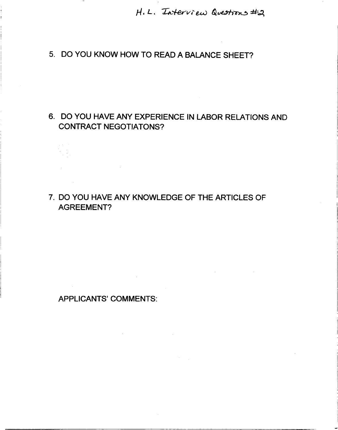$H.L.$  Interview Questions #2

 $\mathcal{L}^{\mathcal{L}}$  and  $\mathcal{L}^{\mathcal{L}}$  are  $\mathcal{L}^{\mathcal{L}}$  . The contribution of  $\mathcal{L}^{\mathcal{L}}$ 

### 5. DO YOU KNOW HOW TO READ A BALANCE SHEET?

### 6. DO YOU HAVE ANY EXPERIENCE IN LABOR RELATIONS AND CONTRACT NEGOTIATONS?

7. DO YOU HAVE ANY KNOWLEDGE OF THE ARTICLES OF AGREEMENT?

APPLICANTS' COMMENTS: